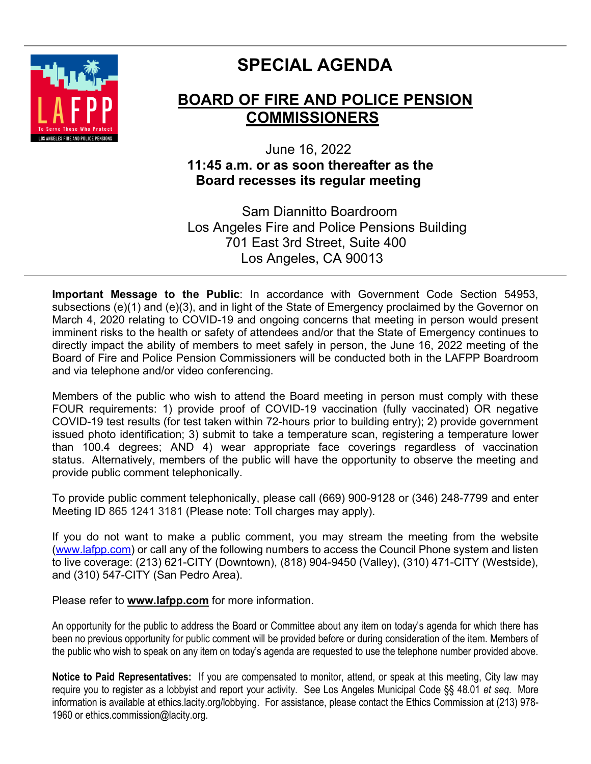

# **SPECIAL AGENDA**

# **BOARD OF FIRE AND POLICE PENSION COMMISSIONERS**

# June 16, 2022  **11:45 a.m. or as soon thereafter as the Board recesses its regular meeting**

 Sam Diannitto Boardroom Los Angeles Fire and Police Pensions Building 701 East 3rd Street, Suite 400 Los Angeles, CA 90013

**Important Message to the Public**: In accordance with Government Code Section 54953, subsections (e)(1) and (e)(3), and in light of the State of Emergency proclaimed by the Governor on March 4, 2020 relating to COVID-19 and ongoing concerns that meeting in person would present imminent risks to the health or safety of attendees and/or that the State of Emergency continues to directly impact the ability of members to meet safely in person, the June 16, 2022 meeting of the Board of Fire and Police Pension Commissioners will be conducted both in the LAFPP Boardroom and via telephone and/or video conferencing.

Members of the public who wish to attend the Board meeting in person must comply with these FOUR requirements: 1) provide proof of COVID-19 vaccination (fully vaccinated) OR negative COVID-19 test results (for test taken within 72-hours prior to building entry); 2) provide government issued photo identification; 3) submit to take a temperature scan, registering a temperature lower than 100.4 degrees; AND 4) wear appropriate face coverings regardless of vaccination status. Alternatively, members of the public will have the opportunity to observe the meeting and provide public comment telephonically.

To provide public comment telephonically, please call (669) 900-9128 or (346) 248-7799 and enter Meeting ID 865 1241 3181 (Please note: Toll charges may apply).

If you do not want to make a public comment, you may stream the meeting from the website [\(www.lafpp.com\)](http://www.lafpp.com/) or call any of the following numbers to access the Council Phone system and listen to live coverage: (213) 621-CITY (Downtown), (818) 904-9450 (Valley), (310) 471-CITY (Westside), and (310) 547-CITY (San Pedro Area).

Please refer to **www.lafpp.com** for more information.

An opportunity for the public to address the Board or Committee about any item on today's agenda for which there has been no previous opportunity for public comment will be provided before or during consideration of the item. Members of the public who wish to speak on any item on today's agenda are requested to use the telephone number provided above.

**Notice to Paid Representatives:** If you are compensated to monitor, attend, or speak at this meeting, City law may require you to register as a lobbyist and report your activity. See Los Angeles Municipal Code §§ 48.01 *et seq*. More information is available at ethics.lacity.org/lobbying. For assistance, please contact the Ethics Commission at (213) 978- 1960 or ethics.commission@lacity.org.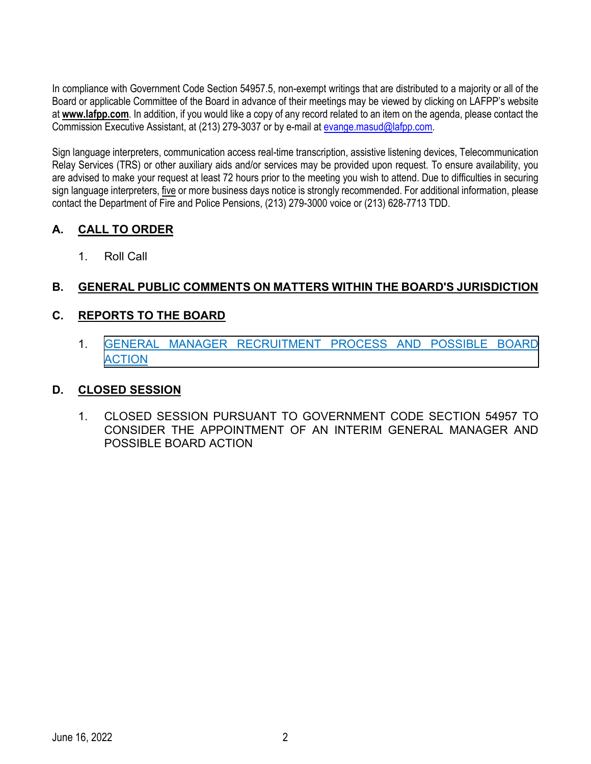In compliance with Government Code Section 54957.5, non-exempt writings that are distributed to a majority or all of the Board or applicable Committee of the Board in advance of their meetings may be viewed by clicking on LAFPP's website at **[www.lafpp.com](http://www.lafpp.com/)**. In addition, if you would like a copy of any record related to an item on the agenda, please contact the Commission Executive Assistant, at (213) 279-3037 or by e-mail at evange masud@lafpp.com.

Sign language interpreters, communication access real-time transcription, assistive listening devices, Telecommunication Relay Services (TRS) or other auxiliary aids and/or services may be provided upon request. To ensure availability, you are advised to make your request at least 72 hours prior to the meeting you wish to attend. Due to difficulties in securing sign language interpreters, five or more business days notice is strongly recommended. For additional information, please contact the Department of Fire and Police Pensions, (213) 279-3000 voice or (213) 628-7713 TDD.

# **A. CALL TO ORDER**

1. Roll Call

# **B. GENERAL PUBLIC COMMENTS ON MATTERS WITHIN THE BOARD'S JURISDICTION**

# **C. REPORTS TO THE BOARD**

1. [GENERAL MANAGER RECRUITMENT PROCESS AND POSSIBLE BOARD](#page-2-0)  **ACTION** 

## **D. CLOSED SESSION**

1. CLOSED SESSION PURSUANT TO GOVERNMENT CODE SECTION 54957 TO CONSIDER THE APPOINTMENT OF AN INTERIM GENERAL MANAGER AND POSSIBLE BOARD ACTION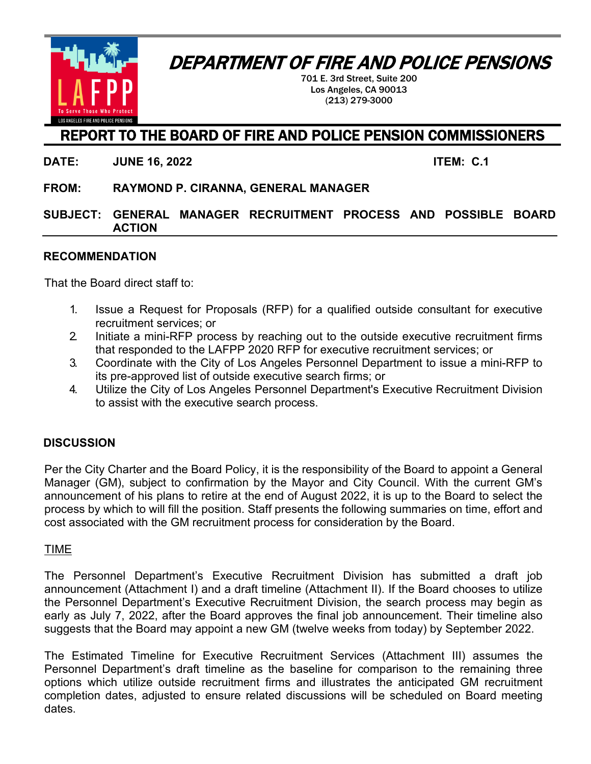DEPARTMENT OF FIRE AND POLICE PENSIONS

<span id="page-2-0"></span>

701 E. 3rd Street, Suite 200 Los Angeles, CA 90013 (213) 279-3000

# REPORT TO THE BOARD OF FIRE AND POLICE PENSION COMMISSIONERS

**DATE: JUNE 16, 2022 ITEM: C.1**

**FROM: RAYMOND P. CIRANNA, GENERAL MANAGER**

#### **SUBJECT: GENERAL MANAGER RECRUITMENT PROCESS AND POSSIBLE BOARD ACTION**

#### **RECOMMENDATION**

That the Board direct staff to:

- 1. Issue a Request for Proposals (RFP) for a qualified outside consultant for executive recruitment services; or
- 2. Initiate a mini-RFP process by reaching out to the outside executive recruitment firms that responded to the LAFPP 2020 RFP for executive recruitment services; or
- 3. Coordinate with the City of Los Angeles Personnel Department to issue a mini-RFP to its pre-approved list of outside executive search firms; or
- 4. Utilize the City of Los Angeles Personnel Department's Executive Recruitment Division to assist with the executive search process.

#### **DISCUSSION**

Per the City Charter and the Board Policy, it is the responsibility of the Board to appoint a General Manager (GM), subject to confirmation by the Mayor and City Council. With the current GM's announcement of his plans to retire at the end of August 2022, it is up to the Board to select the process by which to will fill the position. Staff presents the following summaries on time, effort and cost associated with the GM recruitment process for consideration by the Board.

#### TIME

The Personnel Department's Executive Recruitment Division has submitted a draft job announcement (Attachment I) and a draft timeline (Attachment II). If the Board chooses to utilize the Personnel Department's Executive Recruitment Division, the search process may begin as early as July 7, 2022, after the Board approves the final job announcement. Their timeline also suggests that the Board may appoint a new GM (twelve weeks from today) by September 2022.

The Estimated Timeline for Executive Recruitment Services (Attachment III) assumes the Personnel Department's draft timeline as the baseline for comparison to the remaining three options which utilize outside recruitment firms and illustrates the anticipated GM recruitment completion dates, adjusted to ensure related discussions will be scheduled on Board meeting dates.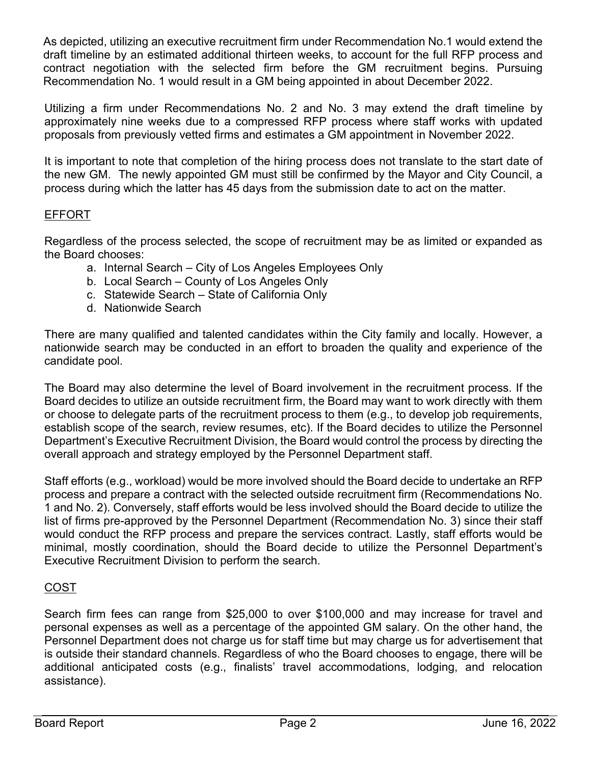As depicted, utilizing an executive recruitment firm under Recommendation No.1 would extend the draft timeline by an estimated additional thirteen weeks, to account for the full RFP process and contract negotiation with the selected firm before the GM recruitment begins. Pursuing Recommendation No. 1 would result in a GM being appointed in about December 2022.

Utilizing a firm under Recommendations No. 2 and No. 3 may extend the draft timeline by approximately nine weeks due to a compressed RFP process where staff works with updated proposals from previously vetted firms and estimates a GM appointment in November 2022.

It is important to note that completion of the hiring process does not translate to the start date of the new GM. The newly appointed GM must still be confirmed by the Mayor and City Council, a process during which the latter has 45 days from the submission date to act on the matter.

## EFFORT

Regardless of the process selected, the scope of recruitment may be as limited or expanded as the Board chooses:

- a. Internal Search City of Los Angeles Employees Only
- b. Local Search County of Los Angeles Only
- c. Statewide Search State of California Only
- d. Nationwide Search

There are many qualified and talented candidates within the City family and locally. However, a nationwide search may be conducted in an effort to broaden the quality and experience of the candidate pool.

The Board may also determine the level of Board involvement in the recruitment process. If the Board decides to utilize an outside recruitment firm, the Board may want to work directly with them or choose to delegate parts of the recruitment process to them (e.g., to develop job requirements, establish scope of the search, review resumes, etc). If the Board decides to utilize the Personnel Department's Executive Recruitment Division, the Board would control the process by directing the overall approach and strategy employed by the Personnel Department staff.

Staff efforts (e.g., workload) would be more involved should the Board decide to undertake an RFP process and prepare a contract with the selected outside recruitment firm (Recommendations No. 1 and No. 2). Conversely, staff efforts would be less involved should the Board decide to utilize the list of firms pre-approved by the Personnel Department (Recommendation No. 3) since their staff would conduct the RFP process and prepare the services contract. Lastly, staff efforts would be minimal, mostly coordination, should the Board decide to utilize the Personnel Department's Executive Recruitment Division to perform the search.

## COST

Search firm fees can range from \$25,000 to over \$100,000 and may increase for travel and personal expenses as well as a percentage of the appointed GM salary. On the other hand, the Personnel Department does not charge us for staff time but may charge us for advertisement that is outside their standard channels. Regardless of who the Board chooses to engage, there will be additional anticipated costs (e.g., finalists' travel accommodations, lodging, and relocation assistance).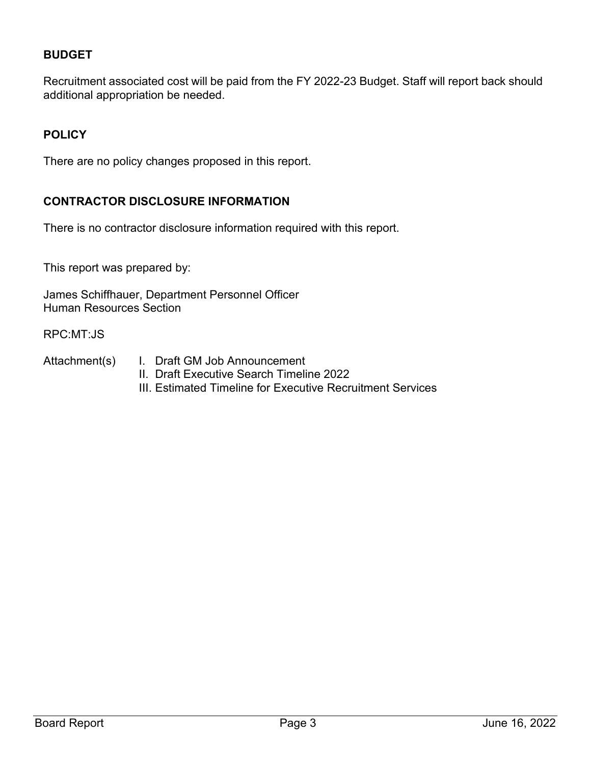# **BUDGET**

Recruitment associated cost will be paid from the FY 2022-23 Budget. Staff will report back should additional appropriation be needed.

## **POLICY**

There are no policy changes proposed in this report.

#### **CONTRACTOR DISCLOSURE INFORMATION**

There is no contractor disclosure information required with this report.

This report was prepared by:

James Schiffhauer, Department Personnel Officer Human Resources Section

RPC:MT:JS

- Attachment(s) I. Draft GM Job Announcement
	- II. Draft Executive Search Timeline 2022
	- III. Estimated Timeline for Executive Recruitment Services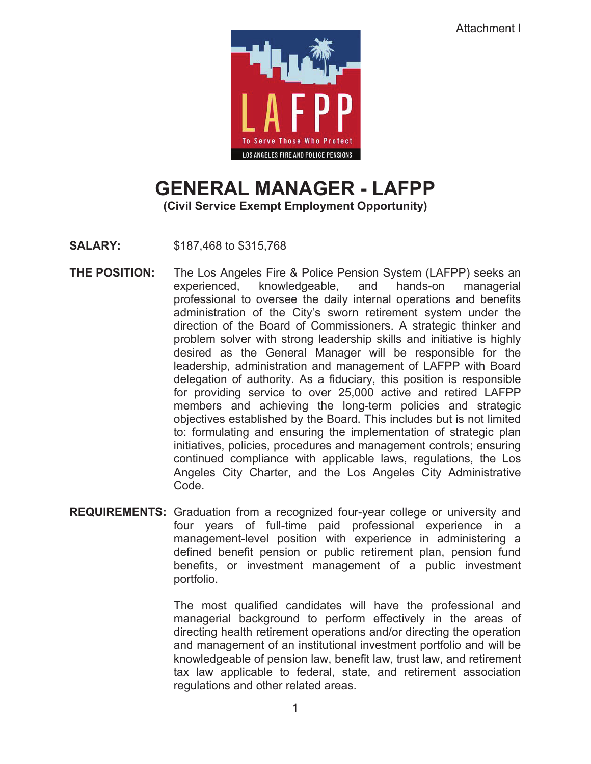

# **GENERAL MANAGER - LAFPP**

**(Civil Service Exempt Employment Opportunity)** 

**SALARY:** \$187,468 to \$315,768

- **THE POSITION:** The Los Angeles Fire & Police Pension System (LAFPP) seeks an experienced, knowledgeable, and hands-on managerial professional to oversee the daily internal operations and benefits administration of the City's sworn retirement system under the direction of the Board of Commissioners. A strategic thinker and problem solver with strong leadership skills and initiative is highly desired as the General Manager will be responsible for the leadership, administration and management of LAFPP with Board delegation of authority. As a fiduciary, this position is responsible for providing service to over 25,000 active and retired LAFPP members and achieving the long-term policies and strategic objectives established by the Board. This includes but is not limited to: formulating and ensuring the implementation of strategic plan initiatives, policies, procedures and management controls; ensuring continued compliance with applicable laws, regulations, the Los Angeles City Charter, and the Los Angeles City Administrative Code.
- **REQUIREMENTS:** Graduation from a recognized four-year college or university and four years of full-time paid professional experience in a management-level position with experience in administering a defined benefit pension or public retirement plan, pension fund benefits, or investment management of a public investment portfolio.

The most qualified candidates will have the professional and managerial background to perform effectively in the areas of directing health retirement operations and/or directing the operation and management of an institutional investment portfolio and will be knowledgeable of pension law, benefit law, trust law, and retirement tax law applicable to federal, state, and retirement association regulations and other related areas.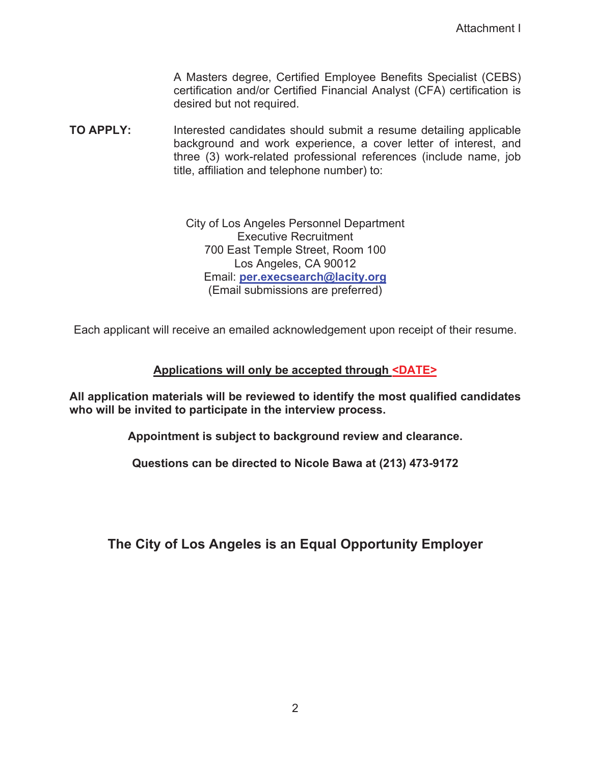A Masters degree, Certified Employee Benefits Specialist (CEBS) certification and/or Certified Financial Analyst (CFA) certification is desired but not required.

**TO APPLY:** Interested candidates should submit a resume detailing applicable background and work experience, a cover letter of interest, and three (3) work-related professional references (include name, job title, affiliation and telephone number) to:

> City of Los Angeles Personnel Department Executive Recruitment 700 East Temple Street, Room 100 Los Angeles, CA 90012 Email: **per.execsearch@lacity.org** (Email submissions are preferred)

Each applicant will receive an emailed acknowledgement upon receipt of their resume.

#### **Applications will only be accepted through <DATE>**

**All application materials will be reviewed to identify the most qualified candidates who will be invited to participate in the interview process.** 

**Appointment is subject to background review and clearance.** 

**Questions can be directed to Nicole Bawa at (213) 473-9172**

**The City of Los Angeles is an Equal Opportunity Employer**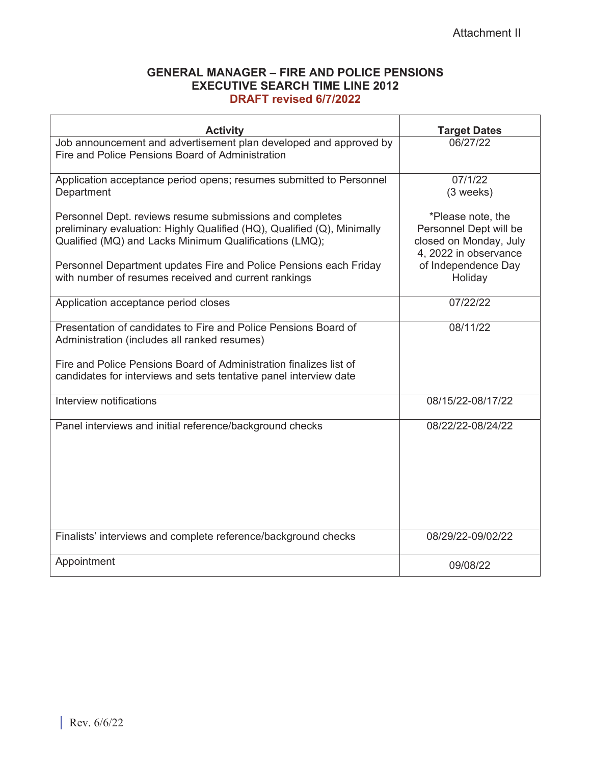#### **GENERAL MANAGER – FIRE AND POLICE PENSIONS EXECUTIVE SEARCH TIME LINE 2012 DRAFT revised 6/7/2022**

| <b>Activity</b>                                                                                                                                                                               | <b>Target Dates</b>                                                                            |
|-----------------------------------------------------------------------------------------------------------------------------------------------------------------------------------------------|------------------------------------------------------------------------------------------------|
| Job announcement and advertisement plan developed and approved by<br>Fire and Police Pensions Board of Administration                                                                         | 06/27/22                                                                                       |
| Application acceptance period opens; resumes submitted to Personnel<br>Department                                                                                                             | 07/1/22<br>(3 weeks)                                                                           |
| Personnel Dept. reviews resume submissions and completes<br>preliminary evaluation: Highly Qualified (HQ), Qualified (Q), Minimally<br>Qualified (MQ) and Lacks Minimum Qualifications (LMQ); | *Please note, the<br>Personnel Dept will be<br>closed on Monday, July<br>4, 2022 in observance |
| Personnel Department updates Fire and Police Pensions each Friday<br>with number of resumes received and current rankings                                                                     | of Independence Day<br>Holiday                                                                 |
| Application acceptance period closes                                                                                                                                                          | 07/22/22                                                                                       |
| Presentation of candidates to Fire and Police Pensions Board of<br>Administration (includes all ranked resumes)                                                                               | 08/11/22                                                                                       |
| Fire and Police Pensions Board of Administration finalizes list of<br>candidates for interviews and sets tentative panel interview date                                                       |                                                                                                |
| Interview notifications                                                                                                                                                                       | 08/15/22-08/17/22                                                                              |
| Panel interviews and initial reference/background checks                                                                                                                                      | 08/22/22-08/24/22                                                                              |
| Finalists' interviews and complete reference/background checks                                                                                                                                | 08/29/22-09/02/22                                                                              |
| Appointment                                                                                                                                                                                   | 09/08/22                                                                                       |